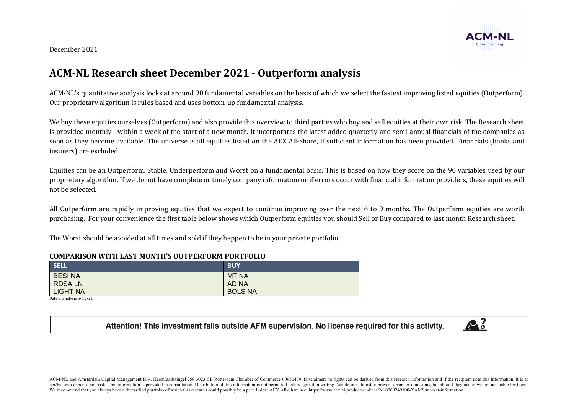December 2021

## **ACM-NL Research sheet December 2021 - Outperform analysis**

ACM-NL's quantitative analysis looks at around 90 fundamental variables on the basis of which we select the fastest improving listed equities (Outperform). Our proprietary algorithm is rules based and uses bottom-up fundamental analysis.

We buy these equities ourselves (Outperform) and also provide this overview to third parties who buy and sell equities at their own risk. The Research sheet is provided monthly - within a week of the start of a new month. It incorporates the latest added quarterly and semi-annual financials of the companies as soon as they become available. The universe is all equities listed on the AEX All-Share, if sufficient information has been provided. Financials (banks and insurers) are excluded.

Equities can be an Outperform, Stable, Underperform and Worst on a fundamental basis. This is based on how they score on the 90 variables used by our proprietary algorithm. If we do not have complete or timely company information or if errors occur with financial information providers, these equities will not be selected.

All Outperform are rapidly improving equities that we expect to continue improving over the next 6 to 9 months. The Outperform equities are worth purchasing. For your convenience the first table below shows which Outperform equities you should Sell or Buy compared to last month Research sheet.

The Worst should be avoided at all times and sold if they happen to be in your private portfolio.

## **COMPARISON WITH LAST MONTH'S OUTPERFORM PORTFOLIO**

| SELL          | <b>BUY</b>     |
|---------------|----------------|
| <b>BESINA</b> | <b>MT NA</b>   |
| <b>RDSALN</b> | AD NA          |
| LIGHT NA      | <b>BOLS NA</b> |

Date of analysis  $5/12/21$ 

## Attention! This investment falls outside AFM supervision. No license required for this activity.



ACM-NL and Amsterdam Capital Management B.V. Heemraadssingel 259 3023 CE Rotterdam Chamber of Commerce 60950439. Disclaimer: no rights can be derived from this research information and if the recipient uses this informatio her/his own expense and risk. This information is provided in consultation. Distribution of this information is not permitted unless agreed in writing. We do our utmost to prevent errors or omissions, but should they occur We recommend that you always have a diversified portfolio of which this research could possibly be a part. Index: AEX All-Share see: https://www.aex.nl/products/indices/NL0000249100-XAMS/market-information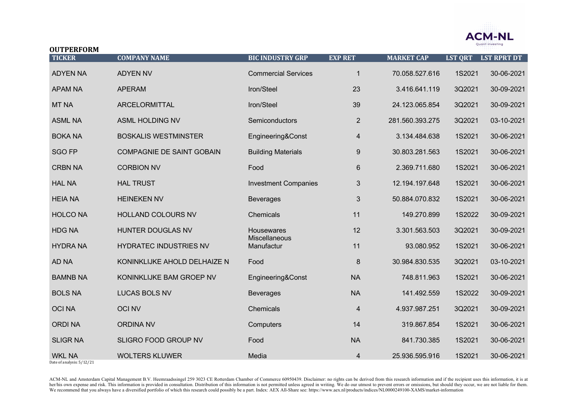

| <b>OUTPERFORM</b> |                                  |                             |                         |                   |                |                    |
|-------------------|----------------------------------|-----------------------------|-------------------------|-------------------|----------------|--------------------|
| <b>TICKER</b>     | <b>COMPANY NAME</b>              | <b>BIC INDUSTRY GRP</b>     | <b>EXP RET</b>          | <b>MARKET CAP</b> | <b>LST QRT</b> | <b>LST RPRT DT</b> |
| <b>ADYEN NA</b>   | <b>ADYEN NV</b>                  | <b>Commercial Services</b>  | $\mathbf 1$             | 70.058.527.616    | 1S2021         | 30-06-2021         |
| <b>APAM NA</b>    | <b>APERAM</b>                    | Iron/Steel                  | 23                      | 3.416.641.119     | 3Q2021         | 30-09-2021         |
| <b>MT NA</b>      | <b>ARCELORMITTAL</b>             | Iron/Steel                  | 39                      | 24.123.065.854    | 3Q2021         | 30-09-2021         |
| <b>ASML NA</b>    | <b>ASML HOLDING NV</b>           | Semiconductors              | $\overline{2}$          | 281.560.393.275   | 3Q2021         | 03-10-2021         |
| <b>BOKA NA</b>    | <b>BOSKALIS WESTMINSTER</b>      | Engineering&Const           | $\overline{\mathbf{4}}$ | 3.134.484.638     | 1S2021         | 30-06-2021         |
| <b>SGO FP</b>     | <b>COMPAGNIE DE SAINT GOBAIN</b> | <b>Building Materials</b>   | $9\,$                   | 30.803.281.563    | 1S2021         | 30-06-2021         |
| <b>CRBN NA</b>    | <b>CORBION NV</b>                | Food                        | 6                       | 2.369.711.680     | 1S2021         | 30-06-2021         |
| <b>HAL NA</b>     | <b>HAL TRUST</b>                 | <b>Investment Companies</b> | 3                       | 12.194.197.648    | 1S2021         | 30-06-2021         |
| <b>HEIA NA</b>    | <b>HEINEKEN NV</b>               | <b>Beverages</b>            | 3                       | 50.884.070.832    | 1S2021         | 30-06-2021         |
| <b>HOLCO NA</b>   | HOLLAND COLOURS NV               | Chemicals                   | 11                      | 149.270.899       | 1S2022         | 30-09-2021         |
| <b>HDG NA</b>     | HUNTER DOUGLAS NV                | Housewares<br>Miscellaneous | 12                      | 3.301.563.503     | 3Q2021         | 30-09-2021         |
| <b>HYDRA NA</b>   | HYDRATEC INDUSTRIES NV           | Manufactur                  | 11                      | 93.080.952        | 1S2021         | 30-06-2021         |
| AD NA             | KONINKLIJKE AHOLD DELHAIZE N     | Food                        | 8                       | 30.984.830.535    | 3Q2021         | 03-10-2021         |
| <b>BAMNB NA</b>   | KONINKLIJKE BAM GROEP NV         | Engineering&Const           | <b>NA</b>               | 748.811.963       | 1S2021         | 30-06-2021         |
| <b>BOLS NA</b>    | <b>LUCAS BOLS NV</b>             | <b>Beverages</b>            | <b>NA</b>               | 141.492.559       | 1S2022         | 30-09-2021         |
| <b>OCINA</b>      | <b>OCI NV</b>                    | Chemicals                   | 4                       | 4.937.987.251     | 3Q2021         | 30-09-2021         |
| <b>ORDINA</b>     | <b>ORDINA NV</b>                 | Computers                   | 14                      | 319.867.854       | 1S2021         | 30-06-2021         |
| <b>SLIGR NA</b>   | SLIGRO FOOD GROUP NV             | Food                        | <b>NA</b>               | 841.730.385       | 1S2021         | 30-06-2021         |
| <b>WKL NA</b>     | <b>WOLTERS KLUWER</b>            | Media                       | $\overline{4}$          | 25.936.595.916    | 1S2021         | 30-06-2021         |

Date of analysis:  $5/12/21$ 

ACM-NL and Amsterdam Capital Management B.V. Heemraadssingel 259 3023 CE Rotterdam Chamber of Commerce 60950439. Disclaimer: no rights can be derived from this research information and if the recipient uses this informatio her/his own expense and risk. This information is provided in consultation. Distribution of this information is not permitted unless agreed in writing. We do our utmost to prevent errors or omissions, but should they occur